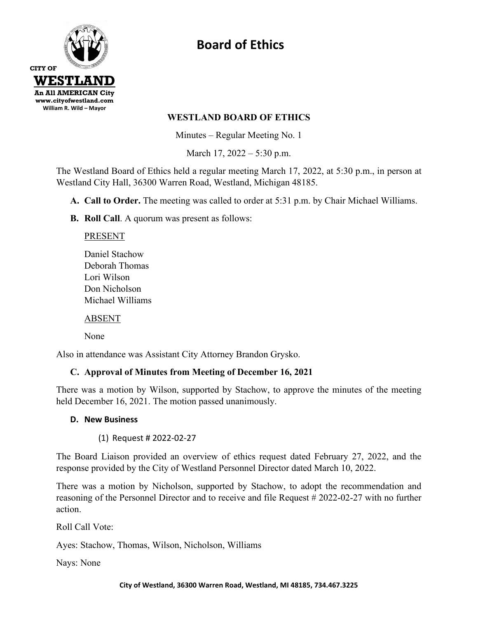

# **Board of Ethics**

### **WESTLAND BOARD OF ETHICS**

Minutes – Regular Meeting No. 1

March 17, 2022 – 5:30 p.m.

The Westland Board of Ethics held a regular meeting March 17, 2022, at 5:30 p.m., in person at Westland City Hall, 36300 Warren Road, Westland, Michigan 48185.

**A. Call to Order.** The meeting was called to order at 5:31 p.m. by Chair Michael Williams.

**B. Roll Call**. A quorum was present as follows:

PRESENT

Daniel Stachow Deborah Thomas Lori Wilson Don Nicholson Michael Williams

ABSENT

None

Also in attendance was Assistant City Attorney Brandon Grysko.

## **C. Approval of Minutes from Meeting of December 16, 2021**

There was a motion by Wilson, supported by Stachow, to approve the minutes of the meeting held December 16, 2021. The motion passed unanimously.

#### **D. New Business**

(1) Request # 2022-02-27

The Board Liaison provided an overview of ethics request dated February 27, 2022, and the response provided by the City of Westland Personnel Director dated March 10, 2022.

There was a motion by Nicholson, supported by Stachow, to adopt the recommendation and reasoning of the Personnel Director and to receive and file Request # 2022-02-27 with no further action.

Roll Call Vote:

Ayes: Stachow, Thomas, Wilson, Nicholson, Williams

Nays: None